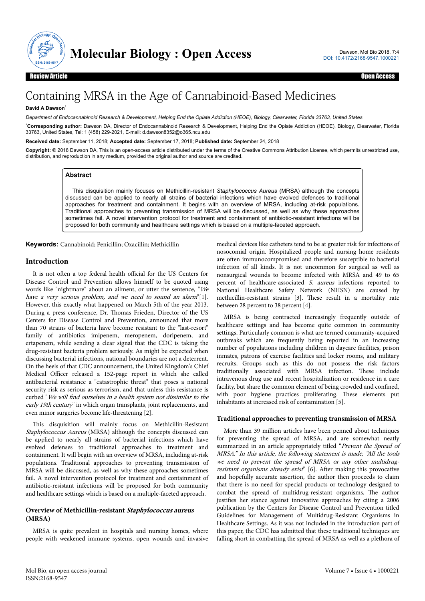

# Containing MRSA in the Age of Cannabinoid-Based Medicines

# **David A Dawson**\*

*Department of Endocannabinoid Research & Development, Helping End the Opiate Addiction (HEOE), Biology, Clearwater, Florida 33763, United States*

\***Corresponding author:** Dawson DA, Director of Endocannabinoid Research & Development, Helping End the Opiate Addiction (HEOE), Biology, Clearwater, Florida 33763, United States, Tel: 1 (458) 229-2021, E-mail: d.dawson8352@o365.ncu.edu

**Received date:** September 11, 2018; **Accepted date:** September 17, 2018; **Published date:** September 24, 2018

**Copyright:** © 2018 Dawson DA, This is an open-access article distributed under the terms of the Creative Commons Attribution License, which permits unrestricted use, distribution, and reproduction in any medium, provided the original author and source are credited.

# **Abstract**

This disquisition mainly focuses on Methicillin-resistant *Staphylococcus Aureus* (MRSA) although the concepts discussed can be applied to nearly all strains of bacterial infections which have evolved defences to traditional approaches for treatment and containment. It begins with an overview of MRSA, including at-risk populations. Traditional approaches to preventing transmission of MRSA will be discussed, as well as why these approaches sometimes fail. A novel intervention protocol for treatment and containment of antibiotic-resistant infections will be proposed for both community and healthcare settings which is based on a multiple-faceted approach.

**Keywords:** Cannabinoid; Penicillin; Oxacillin; Methicillin

# **Introduction**

It is not often a top federal health official for the US Centers for Disease Control and Prevention allows himself to be quoted using words like "nightmare" about an ailment, or utter the sentence, "We have a very serious problem, and we need to sound an alarm"[1]. However, this exactly what happened on March 5th of the year 2013. During a press conference, Dr. Нomas Frieden, Director of the US Centers for Disease Control and Prevention, announced that more than 70 strains of bacteria have become resistant to the "last-resort" family of antibiotics imipenem, meropenem, doripenem, and ertapenem, while sending a clear signal that the CDC is taking the drug-resistant bacteria problem seriously. As might be expected when discussing bacterial infections, national boundaries are not a deterrent. On the heels of that CDC announcement, the United Kingdom's Chief Medical Officer released a 152-page report in which she called antibacterial resistance a "catastrophic threat" that poses a national security risk as serious as terrorism, and that unless this resistance is curbed "We will find ourselves in a health system not dissimilar to the early 19th century" in which organ transplants, joint replacements, and even minor surgeries become life-threatening [2].

This disquisition will mainly focus on Methicillin-Resistant Staphylococcus Aureus (MRSA) although the concepts discussed can be applied to nearly all strains of bacterial infections which have evolved defenses to traditional approaches to treatment and containment. It will begin with an overview of MRSA, including at-risk populations. Traditional approaches to preventing transmission of MRSA will be discussed, as well as why these approaches sometimes fail. A novel intervention protocol for treatment and containment of antibiotic-resistant infections will be proposed for both community and healthcare settings which is based on a multiple-faceted approach.

# **Overview of Methicillin-resistant Staphylococcus aureus (MRSA)**

MRSA is quite prevalent in hospitals and nursing homes, where people with weakened immune systems, open wounds and invasive

medical devices like catheters tend to be at greater risk for infections of nosocomial origin. Hospitalized people and nursing home residents are often immunocompromised and therefore susceptible to bacterial infection of all kinds. It is not uncommon for surgical as well as nonsurgical wounds to become infected with MRSA and 49 to 65 percent of healthcare-associated S. aureus infections reported to National Healthcare Safety Network (NHSN) are caused by methicillin-resistant strains [3]. Нese result in a mortality rate between 28 percent to 38 percent [4].

MRSA is being contracted increasingly frequently outside of healthcare settings and has become quite common in community settings. Particularly common is what are termed community-acquired outbreaks which are frequently being reported in an increasing number of populations including children in daycare facilities, prison inmates, patrons of exercise facilities and locker rooms, and military recruits. Groups such as this do not possess the risk factors traditionally associated with MRSA infection. Нese include intravenous drug use and recent hospitalization or residence in a care facility, but share the common element of being crowded and confined, with poor hygiene practices proliferating. Нese elements put inhabitants at increased risk of contamination [5].

# **Traditional approaches to preventing transmission of MRSA**

More than 39 million articles have been penned about techniques for preventing the spread of MRSA, and are somewhat neatly summarized in an article appropriately titled "Prevent the Spread of MRSA." In this article, the following statement is made, "All the tools we need to prevent the spread of MRSA or any other multidrugresistant organisms already exist" [6]. After making this provocative and hopefully accurate assertion, the author then proceeds to claim that there is no need for special products or technology designed to combat the spread of multidrug-resistant organisms. Нe author justifies her stance against innovative approaches by citing a 2006 publication by the Centers for Disease Control and Prevention titled Guidelines for Management of Multidrug-Resistant Organisms in Healthcare Settings. As it was not included in the introduction part of this paper, the CDC has admitted that these traditional techniques are falling short in combatting the spread of MRSA as well as a plethora of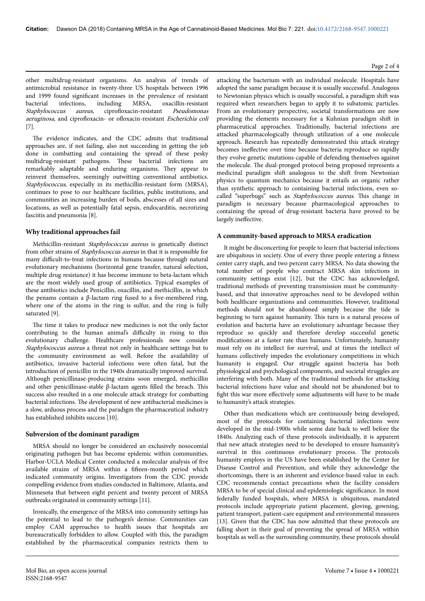other multidrug-resistant organisms. An analysis of trends of antimicrobial resistance in twenty-three US hospitals between 1996 and 1999 found significant increases in the prevalence of resistant bacterial infections, including MRSA, oxacillin-resistant Staphylococcus aureus, ciprofloxacin-resistant Pseudomonas aeruginosa, and ciprofloxacin- or ofloxacin-resistant Escherichia coli [7].

The evidence indicates, and the CDC admits that traditional approaches are, if not failing, also not succeeding in getting the job done in combatting and containing the spread of these pesky multidrug-resistant pathogens. Нese bacterial infections are remarkably adaptable and enduring organisms. Нey appear to reinvent themselves, seemingly outwitting conventional antibiotics. Staphylococcus, especially in its methicillin-resistant form (MRSA), continues to pose to our healthcare facilities, public institutions, and communities an increasing burden of boils, abscesses of all sizes and locations, as well as potentially fatal sepsis, endocarditis, necrotizing fasciitis and pneumonia [8].

# **Why traditional approaches fail**

Methicillin-resistant Staphylococcus aureus is genetically distinct from other strains of Staphylococcus aureus in that it is responsible for many difficult-to-treat infections in humans because through natural evolutionary mechanisms (horizontal gene transfer, natural selection, multiple drug resistance) it has become immune to beta-lactam which are the most widely used group of antibiotics. Typical examples of these antibiotics include Penicillin, oxacillin, and methicillin, in which the penams contain a β-lactam ring fused to a five-membered ring, where one of the atoms in the ring is sulfur, and the ring is fully saturated [9].

The time it takes to produce new medicines is not the only factor contributing to the human animal's difficulty in rising to this evolutionary challenge. Healthcare professionals now consider Staphylococcus aureus a threat not only in healthcare settings but to the community environment as well. Before the availability of antibiotics, invasive bacterial infections were often fatal, but the introduction of penicillin in the 1940s dramatically improved survival. Although penicillinase-producing strains soon emerged, methicillin and other penicillinase-stable β-lactam agents filled the breach. This success also resulted in a one molecule attack strategy for combatting bacterial infections. Нe development of new antibacterial medicines is a slow, arduous process and the paradigm the pharmaceutical industry has established inhibits success [10].

#### **Subversion of the dominant paradigm**

MRSA should no longer be considered an exclusively nosocomial originating pathogen but has become epidemic within communities. Harbor-UCLA Medical Center conducted a molecular analysis of five available strains of MRSA within a fifteen-month period which indicated community origins. Investigators from the CDC provide compelling evidence from studies conducted in Baltimore, Atlanta, and Minnesota that between eight percent and twenty percent of MRSA outbreaks originated in community settings [11].

Ironically, the emergence of the MRSA into community settings has the potential to lead to the pathogen's demise. Communities can employ CAM approaches to health issues that hospitals are bureaucratically forbidden to allow. Coupled with this, the paradigm established by the pharmaceutical companies restricts them to attacking the bacterium with an individual molecule. Hospitals have adopted the same paradigm because it is usually successful. Analogous to Newtonian physics which is usually successful, a paradigm shift was required when researchers began to apply it to subatomic particles. From an evolutionary perspective, societal transformations are now providing the elements necessary for a Kuhnian paradigm shift in pharmaceutical approaches. Traditionally, bacterial infections are attacked pharmacologically through utilization of a one molecule approach. Research has repeatedly demonstrated this attack strategy becomes ineffective over time because bacteria reproduce so rapidly they evolve genetic mutations capable of defending themselves against the molecule. Нe dual-pronged protocol being proposed represents a medicinal paradigm shift analogous to the shift from Newtonian physics to quantum mechanics because it entails an organic rather than synthetic approach to containing bacterial infections, even socalled "superbugs" such as Staphylococcus aureus. This change in paradigm is necessary because pharmacological approaches to containing the spread of drug-resistant bacteria have proved to be largely ineffective.

#### **A community-based approach to MRSA eradication**

It might be disconcerting for people to learn that bacterial infections are ubiquitous in society. One of every three people entering a fitness center carry staph, and two percent carry MRSA. No data showing the total number of people who contract MRSA skin infections in community settings exist [12], but the CDC has acknowledged, traditional methods of preventing transmission must be communitybased, and that innovative approaches need to be developed within both healthcare organizations and communities. However, traditional methods should not be abandoned simply because the tide is beginning to turn against humanity. Нis turn is a natural process of evolution and bacteria have an evolutionary advantage because they reproduce so quickly and therefore develop successful genetic modifications at a faster rate than humans. Unfortunately, humanity must rely on its intellect for survival, and at times the intellect of humans collectively impedes the evolutionary competitions in which humanity is engaged. Our struggle against bacteria has both physiological and psychological components, and societal struggles are interfering with both. Many of the traditional methods for attacking bacterial infections have value and should not be abandoned but to fight this war more effectively some adjustments will have to be made to humanity's attack strategies.

Other than medications which are continuously being developed, most of the protocols for containing bacterial infections were developed in the mid-1900s while some date back to well before the 1840s. Analyzing each of these protocols individually, it is apparent that new attack strategies need to be developed to ensure humanity's survival in this continuous evolutionary process. Нe protocols humanity employs in the US have been established by the Center for Disease Control and Prevention, and while they acknowledge the shortcomings, there is an inherent and evidence-based value in each. CDC recommends contact precautions when the facility considers MRSA to be of special clinical and epidemiologic significance. In most federally funded hospitals, where MRSA is ubiquitous, mandated protocols include appropriate patient placement, gloving, gowning, patient transport, patient-care equipment and environmental measures [13]. Given that the CDC has now admitted that these protocols are falling short in their goal of preventing the spread of MRSA within hospitals as well as the surrounding community, these protocols should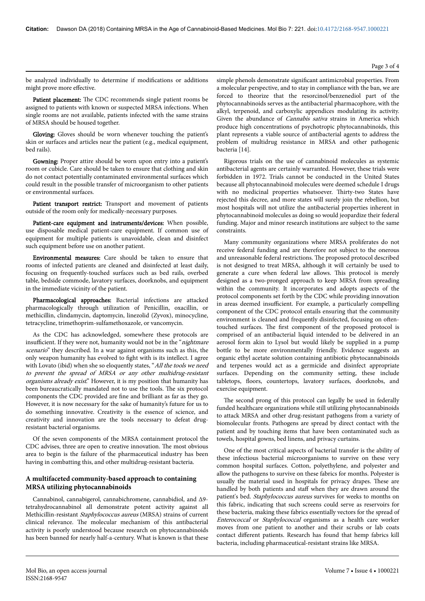#### be analyzed individually to determine if modifications or additions might prove more effective.

Patient placement: The CDC recommends single patient rooms be assigned to patients with known or suspected MRSA infections. When single rooms are not available, patients infected with the same strains of MRSA should be housed together.

Gloving: Gloves should be worn whenever touching the patient's skin or surfaces and articles near the patient (e.g., medical equipment, bed rails).

Gowning: Proper attire should be worn upon entry into a patient's room or cubicle. Care should be taken to ensure that clothing and skin do not contact potentially contaminated environmental surfaces which could result in the possible transfer of microorganism to other patients or environmental surfaces.

Patient transport restrict: Transport and movement of patients outside of the room only for medically-necessary purposes.

Patient-care equipment and instruments/devices: When possible, use disposable medical patient-care equipment. If common use of equipment for multiple patients is unavoidable, clean and disinfect such equipment before use on another patient.

Environmental measures: Care should be taken to ensure that rooms of infected patients are cleaned and disinfected at least daily, focusing on frequently-touched surfaces such as bed rails, overbed table, bedside commode, lavatory surfaces, doorknobs, and equipment in the immediate vicinity of the patient.

Pharmacological approaches: Bacterial infections are attacked pharmacologically through utilization of Penicillin, oxacillin, or methicillin, clindamycin, daptomycin, linezolid (Zyvox), minocycline, tetracycline, trimethoprim-sulfamethoxazole, or vancomycin.

As the CDC has acknowledged, somewhere these protocols are insufficient. If they were not, humanity would not be in the "nightmare" scenario" they described. In a war against organisms such as this, the only weapon humanity has evolved to fight with is its intellect. I agree with Lovato (ibid) when she so eloquently states, "All the tools we need to prevent the spread of MRSA or any other multidrug-resistant organisms already exist." However, it is my position that humanity has been bureaucratically mandated not to use the tools. Нe six protocol components the CDC provided are fine and brilliant as far as they go. However, it is now necessary for the sake of humanity's future for us to do something innovative. Creativity is the essence of science, and creativity and innovation are the tools necessary to defeat drugresistant bacterial organisms.

Of the seven components of the MRSA containment protocol the CDC advises, three are open to creative innovation. Нe most obvious area to begin is the failure of the pharmaceutical industry has been having in combatting this, and other multidrug-resistant bacteria.

# **A multifaceted community-based approach to containing MRSA utilizing phytocannabinoids**

Cannabinol, cannabigerol, cannabichromene, cannabidiol, and ∆9 tetrahydrocannabinol all demonstrate potent activity against all Methicillin-resistant Staphylococcus aureus (MRSA) strains of current clinical relevance. Нe molecular mechanism of this antibacterial activity is poorly understood because research on phytocannabinoids has been banned for nearly half-a-century. What is known is that these

simple phenols demonstrate significant antimicrobial properties. From a molecular perspective, and to stay in compliance with the ban, we are forced to theorize that the resorcinol/benzenediol part of the phytocannabinoids serves as the antibacterial pharmacophore, with the alkyl, terpenoid, and carboxylic appendices modulating its activity. Given the abundance of *Cannabis sativa* strains in America which produce high concentrations of psychotropic phytocannabinoids, this plant represents a viable source of antibacterial agents to address the problem of multidrug resistance in MRSA and other pathogenic bacteria [14].

Rigorous trials on the use of cannabinoid molecules as systemic antibacterial agents are certainly warranted. However, these trials were forbidden in 1972. Trials cannot be conducted in the United States because all phytocannabinoid molecules were deemed schedule I drugs with no medicinal properties whatsoever. Нirty-two States have rejected this decree, and more states will surely join the rebellion, but most hospitals will not utilize the antibacterial properties inherent in phytocannabinoid molecules as doing so would jeopardize their federal funding. Major and minor research institutions are subject to the same constraints.

Many community organizations where MRSA proliferates do not receive federal funding and are therefore not subject to the onerous and unreasonable federal restrictions. Нe proposed protocol described is not designed to treat MRSA, although it will certainly be used to generate a cure when federal law allows. Нis protocol is merely designed as a two-pronged approach to keep MRSA from spreading within the community. It incorporates and adopts aspects of the protocol components set forth by the CDC while providing innovation in areas deemed insufficient. For example, a particularly compelling component of the CDC protocol entails ensuring that the community environment is cleaned and frequently disinfected, focusing on oftentouched surfaces. Нe first component of the proposed protocol is comprised of an antibacterial liquid intended to be delivered in an aerosol form akin to Lysol but would likely be supplied in a pump bottle to be more environmentally friendly. Evidence suggests an organic ethyl acetate solution containing antibiotic phytocannabinoids and terpenes would act as a germicide and disinfect appropriate surfaces. Depending on the community setting, these include tabletops, floors, countertops, lavatory surfaces, doorknobs, and exercise equipment.

The second prong of this protocol can legally be used in federally funded healthcare organizations while still utilizing phytocannabinoids to attack MRSA and other drug-resistant pathogens from a variety of biomolecular fronts. Pathogens are spread by direct contact with the patient and by touching items that have been contaminated such as towels, hospital gowns, bed linens, and privacy curtains.

One of the most critical aspects of bacterial transfer is the ability of these infectious bacterial microorganisms to survive on these very common hospital surfaces. Cotton, polyethylene, and polyester and allow the pathogens to survive on these fabrics for months. Polyester is usually the material used in hospitals for privacy drapes. Нese are handled by both patients and staff when they are drawn around the patient's bed. Staphylococcus aureus survives for weeks to months on this fabric, indicating that such screens could serve as reservoirs for these bacteria, making these fabrics essentially vectors for the spread of Enterococcal or Staphylococcal organisms as a health care worker moves from one patient to another and their scrubs or lab coats contact different patients. Research has found that hemp fabrics kill bacteria, including pharmaceutical-resistant strains like MRSA.